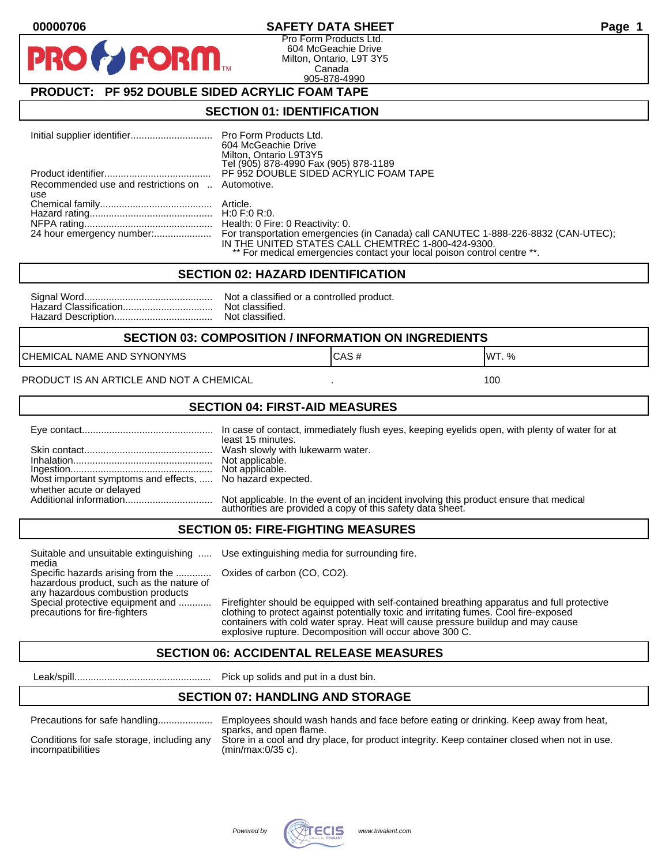#### **00000706 SAFETY DATA SHEET Page 1**

Pro Form Products Ltd. 604 McGeachie Drive Milton, Ontario, L9T 3Y5 Canada 905-878-4990

## **PRODUCT: PF 952 DOUBLE SIDED ACRYLIC FOAM TAPE**

**FORM** 

#### **SECTION 01: IDENTIFICATION**

| Initial supplier identifier Pro Form Products Ltd. | 604 McGeachie Drive<br>Milton, Ontario L9T3Y5<br>Tel (905) 878-4990 Fax (905) 878-1189                                                                                                                              |
|----------------------------------------------------|---------------------------------------------------------------------------------------------------------------------------------------------------------------------------------------------------------------------|
|                                                    | PF 952 DOUBLE SIDED ACRYLIC FOAM TAPE                                                                                                                                                                               |
| Recommended use and restrictions on  Automotive.   |                                                                                                                                                                                                                     |
| use                                                |                                                                                                                                                                                                                     |
|                                                    |                                                                                                                                                                                                                     |
|                                                    |                                                                                                                                                                                                                     |
|                                                    |                                                                                                                                                                                                                     |
|                                                    | For transportation emergencies (in Canada) call CANUTEC 1-888-226-8832 (CAN-UTEC);<br>IN THE UNITED STATES CALL CHEMTREC 1-800-424-9300.<br>** For medical emergencies contact your local poison control centre **. |

#### **SECTION 02: HAZARD IDENTIFICATION**

| Nc |
|----|
| No |
| No |

ot a classified or a controlled product. ot classified. ot classified.

#### **SECTION 03: COMPOSITION / INFORMATION ON INGREDIENTS**

CHEMICAL NAME AND SYNONYMS GAS AND CAS # CAS # WT. %

PRODUCT IS AN ARTICLE AND NOT A CHEMICAL **AND THE SET AND A SET ALL ASSAULT** 100

#### **SECTION 04: FIRST-AID MEASURES**

|                                                                                       | least 15 minutes.                                                                                                                                    |
|---------------------------------------------------------------------------------------|------------------------------------------------------------------------------------------------------------------------------------------------------|
|                                                                                       |                                                                                                                                                      |
| Most important symptoms and effects,  No hazard expected.<br>whether acute or delayed |                                                                                                                                                      |
|                                                                                       | Not applicable. In the event of an incident involving this product ensure that medical<br>authorities are provided a copy of this safety data sheet. |

#### **SECTION 05: FIRE-FIGHTING MEASURES**

Suitable and unsuitable extinguishing ..... Use extinguishing media for surrounding fire. media

Specific hazards arising from the ............. Oxides of carbon (CO, CO2). hazardous product, such as the nature of any hazardous combustion products

Special protective equipment and ............ Firefighter should be equipped with self-contained breathing apparatus and full protective<br>precautions for fire-fighters continent clothing to protect against potentially toxic clothing to protect against potentially toxic and irritating fumes. Cool fire-exposed containers with cold water spray. Heat will cause pressure buildup and may cause explosive rupture. Decomposition will occur above 300 C.

## **SECTION 06: ACCIDENTAL RELEASE MEASURES**

Leak/spill.................................................. Pick up solids and put in a dust bin.

#### **SECTION 07: HANDLING AND STORAGE**

| Precautions for safe nandling |  |  |
|-------------------------------|--|--|
|                               |  |  |

incompatibilities (min/max:0/35 c).

Precautions for safe handling.................... Employees should wash hands and face before eating or drinking. Keep away from heat, sparks, and open flame. Conditions for safe storage, including any Store in a cool and dry place, for product integrity. Keep container closed when not in use.

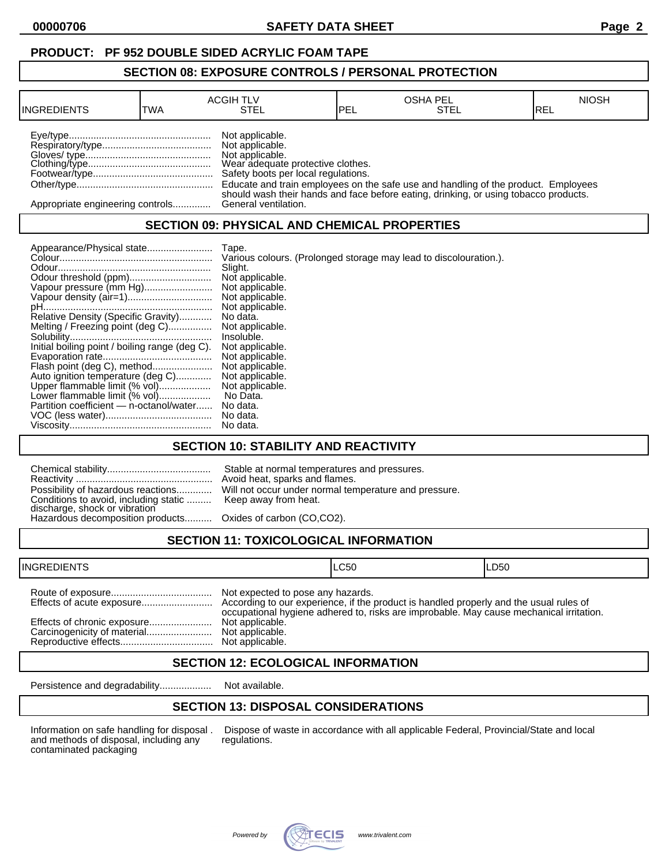## **PRODUCT: PF 952 DOUBLE SIDED ACRYLIC FOAM TAPE**

#### **SECTION 08: EXPOSURE CONTROLS / PERSONAL PROTECTION**

| <b>INGREDIENTS</b>               | TWA | <b>ACGIH TLV</b><br>STEL                                                                                                          | <b>IPEL</b> | <b>OSHA PEL</b><br>STEL                                                              | <b>NIOSH</b><br>IREL |
|----------------------------------|-----|-----------------------------------------------------------------------------------------------------------------------------------|-------------|--------------------------------------------------------------------------------------|----------------------|
|                                  |     | Not applicable.<br>Not applicable.<br>Not applicable.<br>Wear adequate protective clothes.<br>Safety boots per local regulations. |             | Educate and train employees on the safe use and handling of the product. Employees   |                      |
| Appropriate engineering controls |     | General ventilation.                                                                                                              |             | should wash their hands and face before eating, drinking, or using tobacco products. |                      |

## **SECTION 09: PHYSICAL AND CHEMICAL PROPERTIES**

| Appearance/Physical state                      | Tape.                                                             |
|------------------------------------------------|-------------------------------------------------------------------|
|                                                | Various colours. (Prolonged storage may lead to discolouration.). |
|                                                | Slight.                                                           |
|                                                | Not applicable.                                                   |
| Vapour pressure (mm Hg)                        | Not applicable.                                                   |
|                                                | Not applicable.                                                   |
|                                                | Not applicable.                                                   |
| Relative Density (Specific Gravity)            | No data.                                                          |
| Melting / Freezing point (deg C)               | Not applicable.                                                   |
|                                                | Insoluble.                                                        |
| Initial boiling point / boiling range (deg C). | Not applicable.                                                   |
|                                                | Not applicable.                                                   |
| Flash point (deg C), method                    | Not applicable.                                                   |
| Auto ignition temperature (deg C)              | Not applicable.                                                   |
| Upper flammable limit (% vol)                  | Not applicable.                                                   |
| Lower flammable limit (% vol)                  | No Data.                                                          |
| Partition coefficient - n-octanol/water        | No data.                                                          |
|                                                | No data.                                                          |
|                                                | No data.                                                          |

## **SECTION 10: STABILITY AND REACTIVITY**

| Conditions to avoid, including static  Keep away from heat.<br>discharge, shock or vibration<br>Hazardous decomposition products Oxides of carbon (CO,CO2). | Stable at normal temperatures and pressures.<br>Avoid heat, sparks and flames.<br>Possibility of hazardous reactions Will not occur under normal temperature and pressure. |
|-------------------------------------------------------------------------------------------------------------------------------------------------------------|----------------------------------------------------------------------------------------------------------------------------------------------------------------------------|
|                                                                                                                                                             |                                                                                                                                                                            |

# **SECTION 11: TOXICOLOGICAL INFORMATION**

| <b>INGREDIENTS</b> |                                                                         | ILC50                                                                                   | ILD50 |
|--------------------|-------------------------------------------------------------------------|-----------------------------------------------------------------------------------------|-------|
|                    | Not expected to pose any hazards.<br>Not applicable.<br>Not applicable. | occupational hygiene adhered to, risks are improbable. May cause mechanical irritation. |       |

## **SECTION 12: ECOLOGICAL INFORMATION**

Persistence and degradability................... Not available.

## **SECTION 13: DISPOSAL CONSIDERATIONS**

and methods of disposal, including any contaminated packaging

Information on safe handling for disposal . Dispose of waste in accordance with all applicable Federal, Provincial/State and local